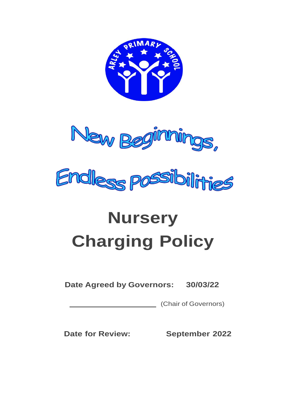



# **Nursery Charging Policy**

## **Date Agreed by Governors: 30/03/22**

**Chair of Governors**)

**Date for Review: September 2022**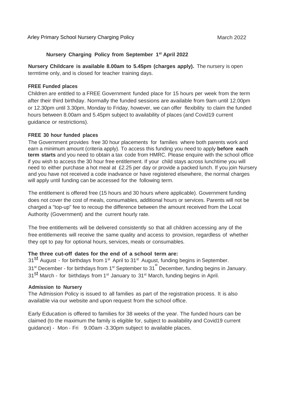#### **Nursery Charging Policy from September 1 st April 2022**

**Nursery Childcare is available 8.00am to 5.45pm (charges apply).** The nursery is open termtime only, and is closed for teacher training days.

#### **FREE Funded places**

Children are entitled to a FREE Government funded place for 15 hours per week from the term after their third birthday. Normally the funded sessions are available from 9am until 12.00pm or 12.30pm until 3.30pm, Monday to Friday, however, we can offer flexibility to claim the funded hours between 8.00am and 5.45pm subject to availability of places (and Covid19 current guidance or restrictions).

#### **FREE 30 hour funded places**

The Government provides free 30 hour placements for families where both parents work and earn a minimum amount (criteria apply). To access this funding you need to apply **before each term starts** and you need to obtain a tax code from HMRC. Please enquire with the school office if you wish to access the 30 hour free entitlement. If your child stays across lunchtime you will need to either purchase a hot meal at £2.25 per day or provide a packed lunch. If you join Nursery and you have not received a code inadvance or have registered elsewhere, the normal charges will apply until funding can be accessed for the following term.

The entitlement is offered free (15 hours and 30 hours where applicable). Government funding does not cover the cost of meals, consumables, additional hours or services. Parents will not be charged a "top-up" fee to recoup the difference between the amount received from the Local Authority (Government) and the current hourly rate.

The free entitlements will be delivered consistently so that all children accessing any of the free entitlements will receive the same quality and access to provision, regardless of whether they opt to pay for optional hours, services, meals or consumables.

#### **The three cut-off dates for the end of a school term are:**

31<sup>st</sup> August - for birthdays from 1<sup>st</sup> April to 31<sup>st</sup> August, funding begins in September. 31<sup>st</sup> December - for birthdays from 1<sup>st</sup> September to 31<sup>st</sup> December, funding begins in January. 31<sup>st</sup> March - for birthdays from 1<sup>st</sup> January to 31<sup>st</sup> March, funding begins in April.

#### **Admission to Nursery**

The Admission Policy is issued to all families as part of the registration process. It is also available via our website and upon request from the school office.

Early Education is offered to families for 38 weeks of the year. The funded hours can be claimed (to the maximum the family is eligible for, subject to availability and Covid19 current guidance) - Mon - Fri 9.00am -3.30pm subject to available places.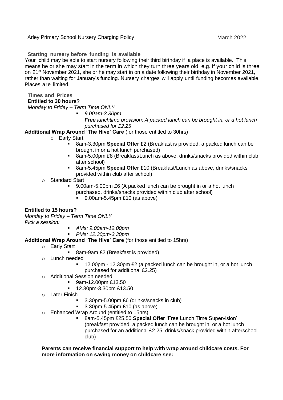Arley Primary School Nursery Charging Policy March 2022 March 2022

**Starting nursery before funding is available**

Your child may be able to start nursery following their third birthday if a place is available. This means he or she may start in the term in which they turn three years old, e.g. if your child is three on 21<sup>st</sup> November 2021, she or he may start in on a date following their birthday in November 2021, rather than waiting for January's funding. Nursery charges will apply until funding becomes available. Places are limited.

### T**imes and Prices**

#### **Entitled to 30 hours?**

*Monday to Friday – Term Time ONLY*

*9.00am-3.30pm*

*Free lunchtime provision: A packed lunch can be brought in, or a hot lunch purchased for £2.25*

#### **Additional Wrap Around 'The Hive' Care** (for those entitled to 30hrs)

- o Early Start
	- 8am-3.30pm **Special Offer** £2 (Breakfast is provided, a packed lunch can be brought in or a hot lunch purchased)
	- 8am-5.00pm £8 (Breakfast/Lunch as above, drinks/snacks provided within club after school)
	- 8am-5.45pm **Special Offer** £10 (Breakfast/Lunch as above, drinks/snacks provided within club after school)
- o Standard Start
	- 9.00am-5.00pm £6 (A packed lunch can be brought in or a hot lunch
		- purchased, drinks/snacks provided within club after school)
			- 9.00am-5.45pm £10 (as above)

#### **Entitled to 15 hours?**

*Monday to Friday – Term Time ONLY Pick a session:*

- *AMs: 9.00am-12.00pm*
- *PMs: 12.30pm-3.30pm*
- **Additional Wrap Around 'The Hive' Care** (for those entitled to 15hrs)
	- o Early Start
		- 8am-9am £2 (Breakfast is provided)
	- o Lunch needed
		- 12.00pm 12.30pm £2 (a packed lunch can be brought in, or a hot lunch purchased for additional £2.25)
	- o Additional Session needed
		- 9am-12.00pm £13.50
		- 12.30pm-3.30pm £13.50
	- o Later Finish
		- 3.30pm-5.00pm £6 (drinks/snacks in club)
		- 3.30pm-5.45pm £10 (as above)
	- o Enhanced Wrap Around (entitled to 15hrs)
		- 8am-5.45pm £25.50 **Special Offer** 'Free Lunch Time Supervision' (breakfast provided, a packed lunch can be brought in, or a hot lunch purchased for an additional £2.25, drinks/snack provided within afterschool club)

#### **Parents can receive financial support to help with wrap around childcare costs. For more information on saving money on childcare see:**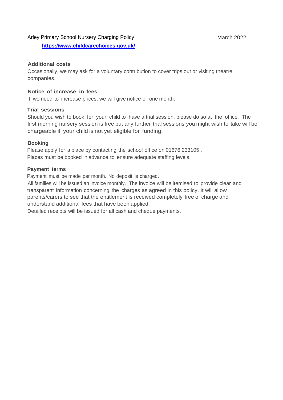#### Arley Primary School Nursery Charging Policy March 2022

**<https://www.childcarechoices.gov.uk/>**

#### **Additional costs**

Occasionally, we may ask for a voluntary contribution to cover trips out or visiting theatre companies.

#### **Notice of increase in fees**

If we need to increase prices, we will give notice of one month.

#### **Trial sessions**

Should you wish to book for your child to have a trial session, please do so at the office. The first morning nursery session is free but any further trial sessions you might wish to take will be chargeable if your child is not yet eligible for funding.

#### **Booking**

Please apply for a place by contacting the school office on 01676 233105 . Places must be booked in advance to ensure adequate staffing levels.

#### **Payment terms**

Payment must be made per month. No deposit is charged.

All families will be issued an invoice monthly. The invoice will be itemised to provide clear and transparent information concerning the charges as agreed in this policy. It will allow parents/carers to see that the entitlement is received completely free of charge and understand additional fees that have been applied.

Detailed receipts will be issued for all cash and cheque payments.